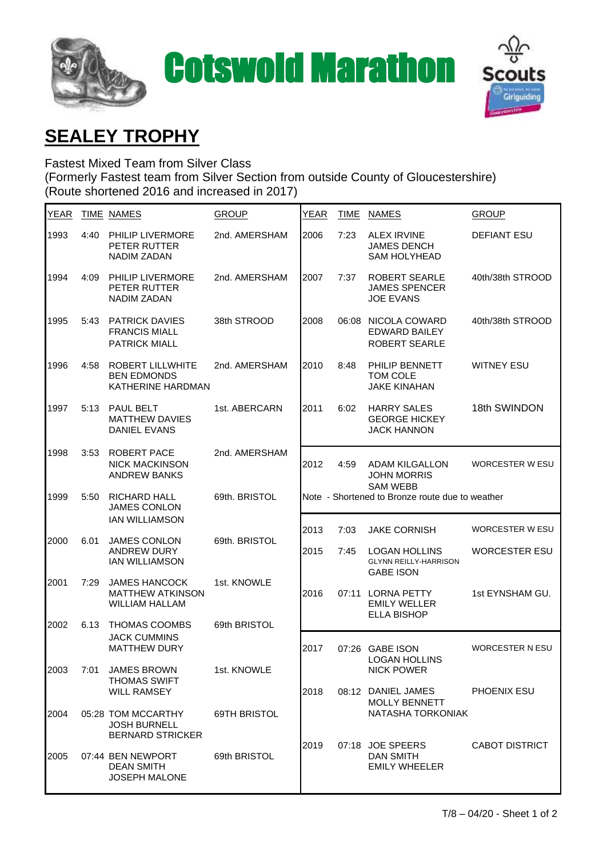



## **SEALEY TROPHY**

Fastest Mixed Team from Silver Class (Formerly Fastest team from Silver Section from outside County of Gloucestershire) (Route shortened 2016 and increased in 2017)

| <b>YEAR</b> |      | <b>TIME NAMES</b>                                                        | <b>GROUP</b>  | <b>YEAR</b> | <b>TIME</b>                                     | <b>NAMES</b>                                                             | <b>GROUP</b>           |  |
|-------------|------|--------------------------------------------------------------------------|---------------|-------------|-------------------------------------------------|--------------------------------------------------------------------------|------------------------|--|
| 1993        | 4:40 | PHILIP LIVERMORE<br>PETER RUTTER<br><b>NADIM ZADAN</b>                   | 2nd. AMERSHAM | 2006        | 7:23                                            | <b>ALEX IRVINE</b><br><b>JAMES DENCH</b><br><b>SAM HOLYHEAD</b>          | <b>DEFIANT ESU</b>     |  |
| 1994        | 4:09 | PHILIP LIVERMORE<br>PETER RUTTER<br><b>NADIM ZADAN</b>                   | 2nd. AMERSHAM | 2007        | 7:37                                            | ROBERT SEARLE<br><b>JAMES SPENCER</b><br><b>JOE EVANS</b>                | 40th/38th STROOD       |  |
| 1995        | 5:43 | <b>PATRICK DAVIES</b><br><b>FRANCIS MIALL</b><br>PATRICK MIALL           | 38th STROOD   | 2008        |                                                 | 06:08 NICOLA COWARD<br><b>EDWARD BAILEY</b><br>ROBERT SEARLE             | 40th/38th STROOD       |  |
| 1996        | 4:58 | ROBERT LILLWHITE<br><b>BEN EDMONDS</b><br>KATHERINE HARDMAN              | 2nd. AMERSHAM | 2010        | 8:48                                            | PHILIP BENNETT<br>TOM COLE<br><b>JAKE KINAHAN</b>                        | <b>WITNEY ESU</b>      |  |
| 1997        | 5:13 | PAUL BELT<br><b>MATTHEW DAVIES</b><br><b>DANIEL EVANS</b>                | 1st. ABERCARN | 2011        | 6:02                                            | <b>HARRY SALES</b><br><b>GEORGE HICKEY</b><br><b>JACK HANNON</b>         | 18th SWINDON           |  |
| 1998        | 3:53 | ROBERT PACE<br><b>NICK MACKINSON</b><br><b>ANDREW BANKS</b>              | 2nd. AMERSHAM | 2012        | 4:59                                            | <b>ADAM KILGALLON</b><br><b>JOHN MORRIS</b><br><b>SAM WEBB</b>           | <b>WORCESTER W ESU</b> |  |
| 1999        | 5:50 | RICHARD HALL<br><b>JAMES CONLON</b>                                      | 69th. BRISTOL |             | Note - Shortened to Bronze route due to weather |                                                                          |                        |  |
|             |      | <b>IAN WILLIAMSON</b>                                                    |               | 2013        | 7:03                                            | <b>JAKE CORNISH</b>                                                      | <b>WORCESTER W ESU</b> |  |
| 2000        | 6.01 | <b>JAMES CONLON</b><br><b>ANDREW DURY</b><br><b>IAN WILLIAMSON</b>       | 69th. BRISTOL | 2015        | 7:45                                            | <b>LOGAN HOLLINS</b><br><b>GLYNN REILLY-HARRISON</b><br><b>GABE ISON</b> | <b>WORCESTER ESU</b>   |  |
| 2001        | 7:29 | <b>JAMES HANCOCK</b><br><b>MATTHEW ATKINSON</b><br><b>WILLIAM HALLAM</b> | 1st. KNOWLE   | 2016        |                                                 | 07:11 LORNA PETTY<br><b>EMILY WELLER</b><br><b>ELLA BISHOP</b>           | 1st EYNSHAM GU.        |  |
| 2002        | 6.13 | <b>THOMAS COOMBS</b><br><b>JACK CUMMINS</b>                              | 69th BRISTOL  |             |                                                 |                                                                          |                        |  |
|             |      | <b>MATTHEW DURY</b>                                                      |               | 2017        |                                                 | 07:26 GABE ISON<br><b>LOGAN HOLLINS</b>                                  | <b>WORCESTER N ESU</b> |  |
| 2003        | 7:01 | <b>JAMES BROWN</b><br><b>THOMAS SWIFT</b><br><b>WILL RAMSEY</b>          | 1st. KNOWLE   | 2018        |                                                 | <b>NICK POWER</b><br>08:12 DANIEL JAMES                                  | PHOENIX ESU            |  |
| 2004        |      | 05:28 TOM MCCARTHY<br><b>JOSH BURNELL</b><br><b>BERNARD STRICKER</b>     | 69TH BRISTOL  |             |                                                 | <b>MOLLY BENNETT</b><br>NATASHA TORKONIAK                                |                        |  |
| 2005        |      | 07:44 BEN NEWPORT<br><b>DEAN SMITH</b><br><b>JOSEPH MALONE</b>           | 69th BRISTOL  | 2019        |                                                 | 07:18 JOE SPEERS<br><b>DAN SMITH</b><br><b>EMILY WHEELER</b>             | <b>CABOT DISTRICT</b>  |  |